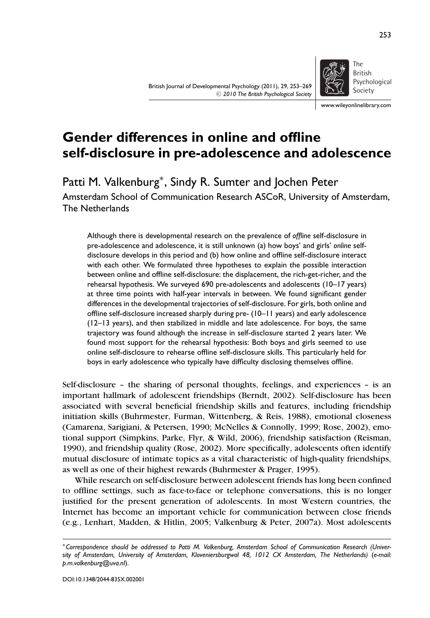British Journal of Developmental Psychology (2011), 29, 253–269 -<sup>C</sup> *2010 The British Psychological Society*



**British** Psychological Society

www.wileyonlinelibrary.com

# **Gender differences in online and offline self-disclosure in pre-adolescence and adolescence**

Patti M. Valkenburg∗ , Sindy R. Sumter and Jochen Peter Amsterdam School of Communication Research ASCoR, University of Amsterdam, The Netherlands

Although there is developmental research on the prevalence of *offline* self-disclosure in pre-adolescence and adolescence, it is still unknown (a) how boys' and girls' *online* selfdisclosure develops in this period and (b) how online and offline self-disclosure interact with each other. We formulated three hypotheses to explain the possible interaction between online and offline self-disclosure: the displacement, the rich-get-richer, and the rehearsal hypothesis. We surveyed 690 pre-adolescents and adolescents (10–17 years) at three time points with half-year intervals in between. We found significant gender differences in the developmental trajectories of self-disclosure. For girls, both online and offline self-disclosure increased sharply during pre- (10–11 years) and early adolescence (12–13 years), and then stabilized in middle and late adolescence. For boys, the same trajectory was found although the increase in self-disclosure started 2 years later. We found most support for the rehearsal hypothesis: Both boys and girls seemed to use online self-disclosure to rehearse offline self-disclosure skills. This particularly held for boys in early adolescence who typically have difficulty disclosing themselves offline.

Self-disclosure – the sharing of personal thoughts, feelings, and experiences – is an important hallmark of adolescent friendships (Berndt, 2002). Self-disclosure has been associated with several beneficial friendship skills and features, including friendship initiation skills (Buhrmester, Furman, Wittenberg, & Reis, 1988), emotional closeness (Camarena, Sarigiani, & Petersen, 1990; McNelles & Connolly, 1999; Rose, 2002), emotional support (Simpkins, Parke, Flyr, & Wild, 2006), friendship satisfaction (Reisman, 1990), and friendship quality (Rose, 2002). More specifically, adolescents often identify mutual disclosure of intimate topics as a vital characteristic of high-quality friendships, as well as one of their highest rewards (Buhrmester & Prager, 1995).

While research on self-disclosure between adolescent friends has long been confined to offline settings, such as face-to-face or telephone conversations, this is no longer justified for the present generation of adolescents. In most Western countries, the Internet has become an important vehicle for communication between close friends (e.g., Lenhart, Madden, & Hitlin, 2005; Valkenburg & Peter, 2007a). Most adolescents

<sup>∗</sup>*Correspondence should be addressed to Patti M. Valkenburg, Amsterdam School of Communication Research (University of Amsterdam, University of Amsterdam, Kloveniersburgwal 48, 1012 CX Amsterdam, The Netherlands)* (*e-mail: p.m.valkenburg@uva.nl*).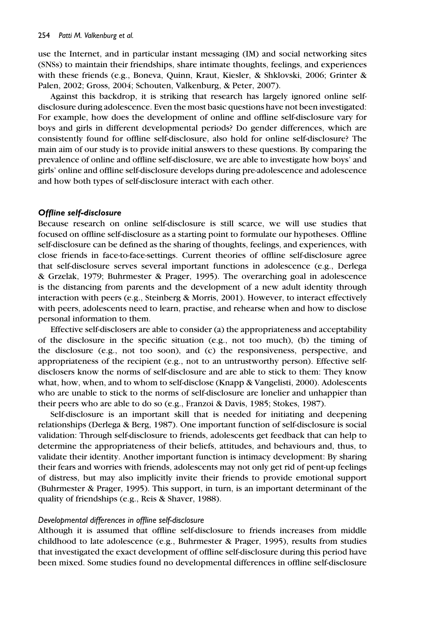use the Internet, and in particular instant messaging (IM) and social networking sites (SNSs) to maintain their friendships, share intimate thoughts, feelings, and experiences with these friends (e.g., Boneva, Quinn, Kraut, Kiesler, & Shklovski, 2006; Grinter & Palen, 2002; Gross, 2004; Schouten, Valkenburg, & Peter, 2007).

Against this backdrop, it is striking that research has largely ignored online selfdisclosure during adolescence. Even the most basic questions have not been investigated: For example, how does the development of online and offline self-disclosure vary for boys and girls in different developmental periods? Do gender differences, which are consistently found for offline self-disclosure, also hold for online self-disclosure? The main aim of our study is to provide initial answers to these questions. By comparing the prevalence of online and offline self-disclosure, we are able to investigate how boys' and girls' online and offline self-disclosure develops during pre-adolescence and adolescence and how both types of self-disclosure interact with each other.

## *Offline self-disclosure*

Because research on online self-disclosure is still scarce, we will use studies that focused on offline self-disclosure as a starting point to formulate our hypotheses. Offline self-disclosure can be defined as the sharing of thoughts, feelings, and experiences, with close friends in face-to-face-settings. Current theories of offline self-disclosure agree that self-disclosure serves several important functions in adolescence (e.g., Derlega & Grzelak, 1979; Buhrmester & Prager, 1995). The overarching goal in adolescence is the distancing from parents and the development of a new adult identity through interaction with peers (e.g., Steinberg & Morris, 2001). However, to interact effectively with peers, adolescents need to learn, practise, and rehearse when and how to disclose personal information to them.

Effective self-disclosers are able to consider (a) the appropriateness and acceptability of the disclosure in the specific situation (e.g., not too much), (b) the timing of the disclosure (e.g., not too soon), and (c) the responsiveness, perspective, and appropriateness of the recipient (e.g., not to an untrustworthy person). Effective selfdisclosers know the norms of self-disclosure and are able to stick to them: They know what, how, when, and to whom to self-disclose (Knapp & Vangelisti, 2000). Adolescents who are unable to stick to the norms of self-disclosure are lonelier and unhappier than their peers who are able to do so (e.g., Franzoi & Davis, 1985; Stokes, 1987).

Self-disclosure is an important skill that is needed for initiating and deepening relationships (Derlega & Berg, 1987). One important function of self-disclosure is social validation: Through self-disclosure to friends, adolescents get feedback that can help to determine the appropriateness of their beliefs, attitudes, and behaviours and, thus, to validate their identity. Another important function is intimacy development: By sharing their fears and worries with friends, adolescents may not only get rid of pent-up feelings of distress, but may also implicitly invite their friends to provide emotional support (Buhrmester & Prager, 1995). This support, in turn, is an important determinant of the quality of friendships (e.g., Reis & Shaver, 1988).

## *Developmental differences in offline self-disclosure*

Although it is assumed that offline self-disclosure to friends increases from middle childhood to late adolescence (e.g., Buhrmester & Prager, 1995), results from studies that investigated the exact development of offline self-disclosure during this period have been mixed. Some studies found no developmental differences in offline self-disclosure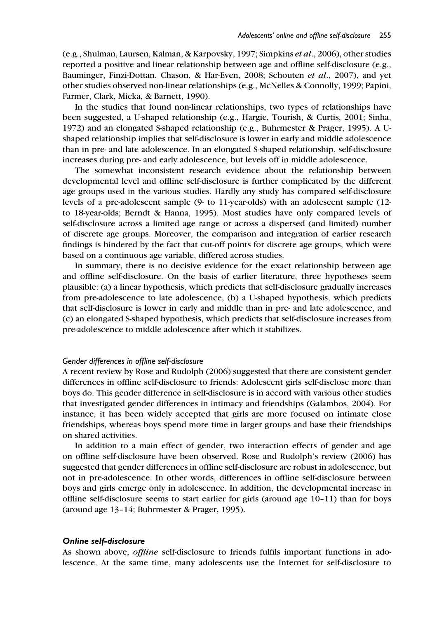(e.g., Shulman, Laursen, Kalman, & Karpovsky, 1997; Simpkins *et al*., 2006), other studies reported a positive and linear relationship between age and offline self-disclosure (e.g., Bauminger, Finzi-Dottan, Chason, & Har-Even, 2008; Schouten *et al*., 2007), and yet other studies observed non-linear relationships (e.g., McNelles & Connolly, 1999; Papini, Farmer, Clark, Micka, & Barnett, 1990).

In the studies that found non-linear relationships, two types of relationships have been suggested, a U-shaped relationship (e.g., Hargie, Tourish, & Curtis, 2001; Sinha, 1972) and an elongated S-shaped relationship (e.g., Buhrmester & Prager, 1995). A Ushaped relationship implies that self-disclosure is lower in early and middle adolescence than in pre- and late adolescence. In an elongated S-shaped relationship, self-disclosure increases during pre- and early adolescence, but levels off in middle adolescence.

The somewhat inconsistent research evidence about the relationship between developmental level and offline self-disclosure is further complicated by the different age groups used in the various studies. Hardly any study has compared self-disclosure levels of a pre-adolescent sample (9- to 11-year-olds) with an adolescent sample (12 to 18-year-olds; Berndt & Hanna, 1995). Most studies have only compared levels of self-disclosure across a limited age range or across a dispersed (and limited) number of discrete age groups. Moreover, the comparison and integration of earlier research findings is hindered by the fact that cut-off points for discrete age groups, which were based on a continuous age variable, differed across studies.

In summary, there is no decisive evidence for the exact relationship between age and offline self-disclosure. On the basis of earlier literature, three hypotheses seem plausible: (a) a linear hypothesis, which predicts that self-disclosure gradually increases from pre-adolescence to late adolescence, (b) a U-shaped hypothesis, which predicts that self-disclosure is lower in early and middle than in pre- and late adolescence, and (c) an elongated S-shaped hypothesis, which predicts that self-disclosure increases from pre-adolescence to middle adolescence after which it stabilizes.

## *Gender differences in offline self-disclosure*

A recent review by Rose and Rudolph (2006) suggested that there are consistent gender differences in offline self-disclosure to friends: Adolescent girls self-disclose more than boys do. This gender difference in self-disclosure is in accord with various other studies that investigated gender differences in intimacy and friendships (Galambos, 2004). For instance, it has been widely accepted that girls are more focused on intimate close friendships, whereas boys spend more time in larger groups and base their friendships on shared activities.

In addition to a main effect of gender, two interaction effects of gender and age on offline self-disclosure have been observed. Rose and Rudolph's review (2006) has suggested that gender differences in offline self-disclosure are robust in adolescence, but not in pre-adolescence. In other words, differences in offline self-disclosure between boys and girls emerge only in adolescence. In addition, the developmental increase in offline self-disclosure seems to start earlier for girls (around age 10–11) than for boys (around age 13–14; Buhrmester & Prager, 1995).

#### *Online self-disclosure*

As shown above, *offline* self-disclosure to friends fulfils important functions in adolescence. At the same time, many adolescents use the Internet for self-disclosure to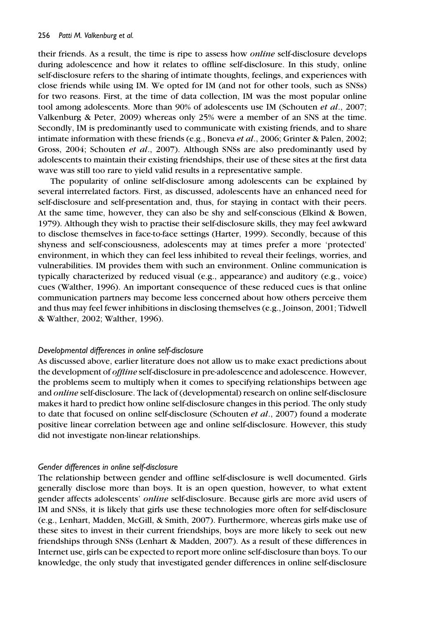their friends. As a result, the time is ripe to assess how *online* self-disclosure develops during adolescence and how it relates to offline self-disclosure. In this study, online self-disclosure refers to the sharing of intimate thoughts, feelings, and experiences with close friends while using IM. We opted for IM (and not for other tools, such as SNSs) for two reasons. First, at the time of data collection, IM was the most popular online tool among adolescents. More than 90% of adolescents use IM (Schouten *et al*., 2007; Valkenburg & Peter, 2009) whereas only 25% were a member of an SNS at the time. Secondly, IM is predominantly used to communicate with existing friends, and to share intimate information with these friends (e.g., Boneva *et al*., 2006; Grinter & Palen, 2002; Gross, 2004; Schouten *et al*., 2007). Although SNSs are also predominantly used by adolescents to maintain their existing friendships, their use of these sites at the first data wave was still too rare to yield valid results in a representative sample.

The popularity of online self-disclosure among adolescents can be explained by several interrelated factors. First, as discussed, adolescents have an enhanced need for self-disclosure and self-presentation and, thus, for staying in contact with their peers. At the same time, however, they can also be shy and self-conscious (Elkind & Bowen, 1979). Although they wish to practise their self-disclosure skills, they may feel awkward to disclose themselves in face-to-face settings (Harter, 1999). Secondly, because of this shyness and self-consciousness, adolescents may at times prefer a more 'protected' environment, in which they can feel less inhibited to reveal their feelings, worries, and vulnerabilities. IM provides them with such an environment. Online communication is typically characterized by reduced visual (e.g., appearance) and auditory (e.g., voice) cues (Walther, 1996). An important consequence of these reduced cues is that online communication partners may become less concerned about how others perceive them and thus may feel fewer inhibitions in disclosing themselves (e.g., Joinson, 2001; Tidwell & Walther, 2002; Walther, 1996).

## *Developmental differences in online self-disclosure*

As discussed above, earlier literature does not allow us to make exact predictions about the development of *offline* self-disclosure in pre-adolescence and adolescence. However, the problems seem to multiply when it comes to specifying relationships between age and *online* self-disclosure. The lack of (developmental) research on online self-disclosure makes it hard to predict how online self-disclosure changes in this period. The only study to date that focused on online self-disclosure (Schouten *et al*., 2007) found a moderate positive linear correlation between age and online self-disclosure. However, this study did not investigate non-linear relationships.

## *Gender differences in online self-disclosure*

The relationship between gender and offline self-disclosure is well documented. Girls generally disclose more than boys. It is an open question, however, to what extent gender affects adolescents' *online* self-disclosure. Because girls are more avid users of IM and SNSs, it is likely that girls use these technologies more often for self-disclosure (e.g., Lenhart, Madden, McGill, & Smith, 2007). Furthermore, whereas girls make use of these sites to invest in their current friendships, boys are more likely to seek out new friendships through SNSs (Lenhart & Madden, 2007). As a result of these differences in Internet use, girls can be expected to report more online self-disclosure than boys. To our knowledge, the only study that investigated gender differences in online self-disclosure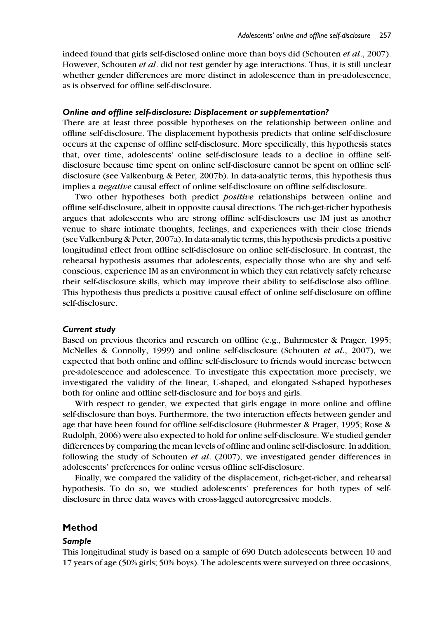indeed found that girls self-disclosed online more than boys did (Schouten *et al*., 2007). However, Schouten *et al*. did not test gender by age interactions. Thus, it is still unclear whether gender differences are more distinct in adolescence than in pre-adolescence, as is observed for offline self-disclosure.

# *Online and offline self-disclosure: Displacement or supplementation?*

There are at least three possible hypotheses on the relationship between online and offline self-disclosure. The displacement hypothesis predicts that online self-disclosure occurs at the expense of offline self-disclosure. More specifically, this hypothesis states that, over time, adolescents' online self-disclosure leads to a decline in offline selfdisclosure because time spent on online self-disclosure cannot be spent on offline selfdisclosure (see Valkenburg & Peter, 2007b). In data-analytic terms, this hypothesis thus implies a *negative* causal effect of online self-disclosure on offline self-disclosure.

Two other hypotheses both predict *positive* relationships between online and offline self-disclosure, albeit in opposite causal directions. The rich-get-richer hypothesis argues that adolescents who are strong offline self-disclosers use IM just as another venue to share intimate thoughts, feelings, and experiences with their close friends (see Valkenburg & Peter, 2007a). In data-analytic terms, this hypothesis predicts a positive longitudinal effect from offline self-disclosure on online self-disclosure. In contrast, the rehearsal hypothesis assumes that adolescents, especially those who are shy and selfconscious, experience IM as an environment in which they can relatively safely rehearse their self-disclosure skills, which may improve their ability to self-disclose also offline. This hypothesis thus predicts a positive causal effect of online self-disclosure on offline self-disclosure.

#### *Current study*

Based on previous theories and research on offline (e.g., Buhrmester & Prager, 1995; McNelles & Connolly, 1999) and online self-disclosure (Schouten *et al*., 2007), we expected that both online and offline self-disclosure to friends would increase between pre-adolescence and adolescence. To investigate this expectation more precisely, we investigated the validity of the linear, U-shaped, and elongated S-shaped hypotheses both for online and offline self-disclosure and for boys and girls.

With respect to gender, we expected that girls engage in more online and offline self-disclosure than boys. Furthermore, the two interaction effects between gender and age that have been found for offline self-disclosure (Buhrmester & Prager, 1995; Rose & Rudolph, 2006) were also expected to hold for online self-disclosure. We studied gender differences by comparing the mean levels of offline and online self-disclosure. In addition, following the study of Schouten *et al*. (2007), we investigated gender differences in adolescents' preferences for online versus offline self-disclosure.

Finally, we compared the validity of the displacement, rich-get-richer, and rehearsal hypothesis. To do so, we studied adolescents' preferences for both types of selfdisclosure in three data waves with cross-lagged autoregressive models.

# **Method**

## *Sample*

This longitudinal study is based on a sample of 690 Dutch adolescents between 10 and 17 years of age (50% girls; 50% boys). The adolescents were surveyed on three occasions,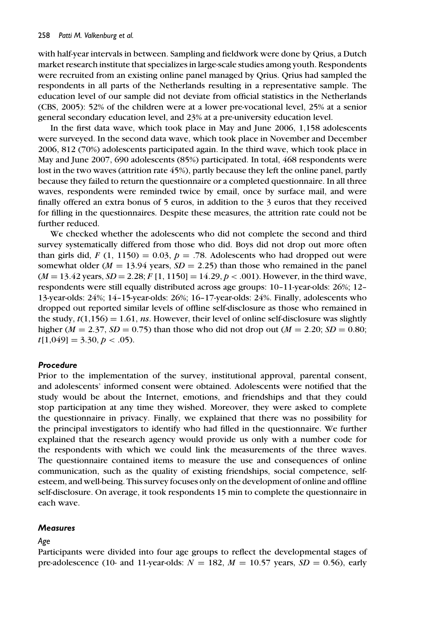with half-year intervals in between. Sampling and fieldwork were done by Qrius, a Dutch market research institute that specializes in large-scale studies among youth. Respondents were recruited from an existing online panel managed by Qrius. Qrius had sampled the respondents in all parts of the Netherlands resulting in a representative sample. The education level of our sample did not deviate from official statistics in the Netherlands (CBS, 2005): 52% of the children were at a lower pre-vocational level, 25% at a senior general secondary education level, and 23% at a pre-university education level.

In the first data wave, which took place in May and June 2006, 1,158 adolescents were surveyed. In the second data wave, which took place in November and December 2006, 812 (70%) adolescents participated again. In the third wave, which took place in May and June 2007, 690 adolescents (85%) participated. In total, 468 respondents were lost in the two waves (attrition rate 45%), partly because they left the online panel, partly because they failed to return the questionnaire or a completed questionnaire. In all three waves, respondents were reminded twice by email, once by surface mail, and were finally offered an extra bonus of 5 euros, in addition to the 3 euros that they received for filling in the questionnaires. Despite these measures, the attrition rate could not be further reduced.

We checked whether the adolescents who did not complete the second and third survey systematically differed from those who did. Boys did not drop out more often than girls did,  $F(1, 1150) = 0.03$ ,  $p = .78$ . Adolescents who had dropped out were somewhat older ( $M = 13.94$  years,  $SD = 2.25$ ) than those who remained in the panel  $(M = 13.42 \text{ years}, SD = 2.28; F[1, 1150] = 14.29, p < .001$ ). However, in the third wave, respondents were still equally distributed across age groups: 10–11-year-olds: 26%; 12– 13-year-olds: 24%; 14–15-year-olds: 26%; 16–17-year-olds: 24%. Finally, adolescents who dropped out reported similar levels of offline self-disclosure as those who remained in the study,  $t(1,156) = 1.61$ , *ns*. However, their level of online self-disclosure was slightly higher ( $M = 2.37$ ,  $SD = 0.75$ ) than those who did not drop out ( $M = 2.20$ ;  $SD = 0.80$ ;  $t[1,049] = 3.30, p < .05$ .

# *Procedure*

Prior to the implementation of the survey, institutional approval, parental consent, and adolescents' informed consent were obtained. Adolescents were notified that the study would be about the Internet, emotions, and friendships and that they could stop participation at any time they wished. Moreover, they were asked to complete the questionnaire in privacy. Finally, we explained that there was no possibility for the principal investigators to identify who had filled in the questionnaire. We further explained that the research agency would provide us only with a number code for the respondents with which we could link the measurements of the three waves. The questionnaire contained items to measure the use and consequences of online communication, such as the quality of existing friendships, social competence, selfesteem, and well-being. This survey focuses only on the development of online and offline self-disclosure. On average, it took respondents 15 min to complete the questionnaire in each wave.

# *Measures*

## *Age*

Participants were divided into four age groups to reflect the developmental stages of pre-adolescence (10- and 11-year-olds:  $N = 182$ ,  $M = 10.57$  years,  $SD = 0.56$ ), early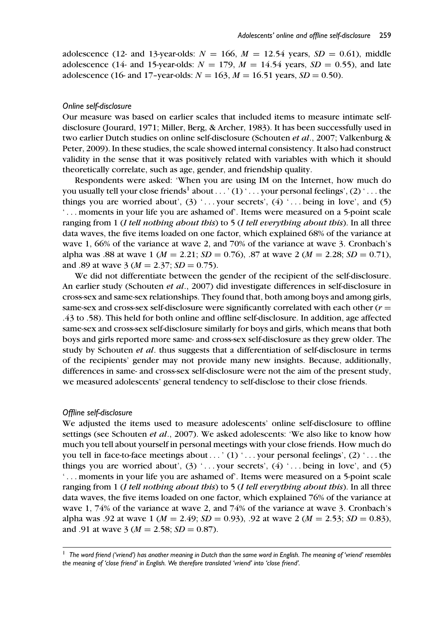adolescence (12- and 13-year-olds:  $N = 166$ ,  $M = 12.54$  years,  $SD = 0.61$ ), middle adolescence (14- and 15-year-olds:  $N = 179$ ,  $M = 14.54$  years,  $SD = 0.55$ ), and late adolescence (16- and 17-year-olds:  $N = 163$ ,  $M = 16.51$  years,  $SD = 0.50$ ).

#### *Online self-disclosure*

Our measure was based on earlier scales that included items to measure intimate selfdisclosure (Jourard, 1971; Miller, Berg, & Archer, 1983). It has been successfully used in two earlier Dutch studies on online self-disclosure (Schouten *et al*., 2007; Valkenburg & Peter, 2009). In these studies, the scale showed internal consistency. It also had construct validity in the sense that it was positively related with variables with which it should theoretically correlate, such as age, gender, and friendship quality.

Respondents were asked: 'When you are using IM on the Internet, how much do you usually tell your close friends<sup>1</sup> about . . . ' $(1)$ '... your personal feelings',  $(2)$ '... the things you are worried about',  $(3)$  '... your secrets',  $(4)$  '... being in love', and  $(5)$ ' . . . moments in your life you are ashamed of'. Items were measured on a 5-point scale ranging from 1 (*I tell nothing about this*) to 5 (*I tell everything about this*). In all three data waves, the five items loaded on one factor, which explained 68% of the variance at wave 1, 66% of the variance at wave 2, and 70% of the variance at wave 3. Cronbach's alpha was .88 at wave 1 ( $M = 2.21$ ;  $SD = 0.76$ ), .87 at wave 2 ( $M = 2.28$ ;  $SD = 0.71$ ), and .89 at wave 3 ( $M = 2.37$ ;  $SD = 0.75$ ).

We did not differentiate between the gender of the recipient of the self-disclosure. An earlier study (Schouten *et al*., 2007) did investigate differences in self-disclosure in cross-sex and same-sex relationships. They found that, both among boys and among girls, same-sex and cross-sex self-disclosure were significantly correlated with each other ( $r =$ .43 to .58). This held for both online and offline self-disclosure. In addition, age affected same-sex and cross-sex self-disclosure similarly for boys and girls, which means that both boys and girls reported more same- and cross-sex self-disclosure as they grew older. The study by Schouten *et al*. thus suggests that a differentiation of self-disclosure in terms of the recipients' gender may not provide many new insights. Because, additionally, differences in same- and cross-sex self-disclosure were not the aim of the present study, we measured adolescents' general tendency to self-disclose to their close friends.

#### *Offline self-disclosure*

We adjusted the items used to measure adolescents' online self-disclosure to offline settings (see Schouten *et al*., 2007). We asked adolescents: 'We also like to know how much you tell about yourself in personal meetings with your close friends. How much do you tell in face-to-face meetings about  $\dots$  (1)  $\dots$  your personal feelings', (2)  $\dots$  the things you are worried about',  $(3)$  '... your secrets',  $(4)$  '... being in love', and  $(5)$ ' . . . moments in your life you are ashamed of'. Items were measured on a 5-point scale ranging from 1 (*I tell nothing about this*) to 5 (*I tell everything about this*). In all three data waves, the five items loaded on one factor, which explained 76% of the variance at wave 1, 74% of the variance at wave 2, and 74% of the variance at wave 3. Cronbach's alpha was .92 at wave 1 ( $M = 2.49$ ;  $SD = 0.93$ ), .92 at wave 2 ( $M = 2.53$ ;  $SD = 0.83$ ), and .91 at wave 3 ( $M = 2.58$ ;  $SD = 0.87$ ).

<sup>1</sup> *The word friend ('vriend') has another meaning in Dutch than the same word in English. The meaning of 'vriend' resembles the meaning of 'close friend' in English. We therefore translated 'vriend' into 'close friend'.*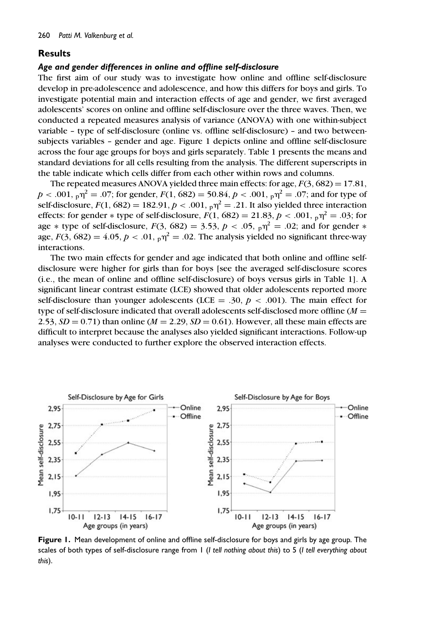# **Results**

# *Age and gender differences in online and offline self-disclosure*

The first aim of our study was to investigate how online and offline self-disclosure develop in pre-adolescence and adolescence, and how this differs for boys and girls. To investigate potential main and interaction effects of age and gender, we first averaged adolescents' scores on online and offline self-disclosure over the three waves. Then, we conducted a repeated measures analysis of variance (ANOVA) with one within-subject variable – type of self-disclosure (online vs. offline self-disclosure) – and two betweensubjects variables – gender and age. Figure 1 depicts online and offline self-disclosure across the four age groups for boys and girls separately. Table 1 presents the means and standard deviations for all cells resulting from the analysis. The different superscripts in the table indicate which cells differ from each other within rows and columns.

The repeated measures ANOVA yielded three main effects: for age,  $F(3, 682) = 17.81$ ,  $p < .001$ ,  $_p \eta^2 = .07$ ; for gender,  $F(1, 682) = 50.84$ ,  $p < .001$ ,  $_p \eta^2 = .07$ ; and for type of self-disclosure,  $F(1, 682) = 182.91$ ,  $p < .001$ ,  $p\gamma^2 = .21$ . It also yielded three interaction effects: for gender  $*$  type of self-disclosure,  $F(1, 682) = 21.83$ ,  $p < .001$ ,  $p\gamma^2 = .03$ ; for age \* type of self-disclosure,  $F(3, 682) = 3.53$ ,  $p < .05$ ,  $p\eta^2 = .02$ ; and for gender \* age,  $F(3, 682) = 4.05$ ,  $p < .01$ ,  $_p\eta^2 = .02$ . The analysis yielded no significant three-way interactions.

The two main effects for gender and age indicated that both online and offline selfdisclosure were higher for girls than for boys [see the averaged self-disclosure scores (i.e., the mean of online and offline self-disclosure) of boys versus girls in Table 1]. A significant linear contrast estimate (LCE) showed that older adolescents reported more self-disclosure than younger adolescents (LCE  $=$  .30,  $p < .001$ ). The main effect for type of self-disclosure indicated that overall adolescents self-disclosed more offline (*M* = 2.53,  $SD = 0.71$ ) than online ( $M = 2.29$ ,  $SD = 0.61$ ). However, all these main effects are difficult to interpret because the analyses also yielded significant interactions. Follow-up analyses were conducted to further explore the observed interaction effects.



**Figure 1.** Mean development of online and offline self-disclosure for boys and girls by age group. The scales of both types of self-disclosure range from 1 (*I tell nothing about this*) to 5 (*I tell everything about this*).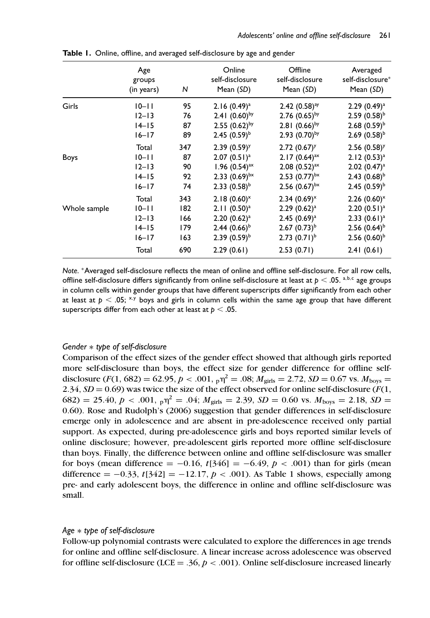|              | Age<br>groups<br>(in years) | N   | Online<br>self-disclosure<br>Mean (SD) | Offline<br>self-disclosure<br>Mean (SD) | Averaged<br>self-disclosure*<br>Mean (SD) |
|--------------|-----------------------------|-----|----------------------------------------|-----------------------------------------|-------------------------------------------|
| Girls        | $10 - 11$                   | 95  | $2.16(0.49)^a$                         | $2.42$ $(0.58)^{ay}$                    | $2.29(0.49)^a$                            |
|              | $12 - 13$                   | 76  | 2.41 $(0.60)^{by}$                     | 2.76 $(0.65)^{by}$                      | $2.59(0.58)^{b}$                          |
|              | $14 - 15$                   | 87  | 2.55 $(0.62)$ <sup>by</sup>            | 2.81 $(0.66)^{by}$                      | $2.68(0.59)^{b}$                          |
|              | $16 - 17$                   | 89  | $2.45(0.59)^{b}$                       | 2.93 $(0.70)^{by}$                      | $2.69(0.58)^{b}$                          |
|              | Total                       | 347 | $2.39(0.59)^{\gamma}$                  | $2.72(0.67)^y$                          | $2.56(0.58)^{\gamma}$                     |
| Boys         | $10 - 11$                   | 87  | $2.07(0.51)^a$                         | $2.17(0.64)^{ax}$                       | $2.12(0.53)^a$                            |
|              | $12 - 13$                   | 90  | $1.96 (0.54)^{ax}$                     | $2.08$ $(0.52)^{ax}$                    | $2.02$ $(0.47)^a$                         |
|              | $14 - 15$                   | 92  | 2.33 $(0.69)^{bx}$                     | 2.53 $(0.77)^{bx}$                      | 2.43 $(0.68)^{b}$                         |
|              | $16 - 17$                   | 74  | $2.33(0.58)^{b}$                       | $2.56$ $(0.67)$ <sup>bx</sup>           | $2.45(0.59)^{b}$                          |
|              | Total                       | 343 | $2.18(0.60)^{x}$                       | $2.34(0.69)^{x}$                        | 2.26 $(0.60)^{x}$                         |
| Whole sample | $10 - 11$                   | 182 | $2.11(0.50)^a$                         | $2.29(0.62)^a$                          | $2.20(0.51)^a$                            |
|              | $12 - 13$                   | 166 | $2.20(0.62)^a$                         | $2.45(0.69)^a$                          | $2.33 (0.61)^a$                           |
|              | $14 - 15$                   | 179 | $2.44(0.66)^{b}$                       | $2.67(0.73)^{b}$                        | $2.56$ $(0.64)^{b}$                       |
|              | $16 - 17$                   | 163 | $2.39(0.59)^{b}$                       | $2.73(0.71)^{b}$                        | $2.56(0.60)^{b}$                          |
|              | Total                       | 690 | 2.29(0.61)                             | 2.53(0.71)                              | 2.41(0.61)                                |

**Table 1.** Online, offline, and averaged self-disclosure by age and gender

*Note.* <sup>∗</sup>Averaged self-disclosure reflects the mean of online and offline self-disclosure. For all row cells, offline self-disclosure differs significantly from online self-disclosure at least at  $p < .05$ . a,b,c age groups in column cells within gender groups that have different superscripts differ significantly from each other at least at  $p < .05$ ; x,y boys and girls in column cells within the same age group that have different superscripts differ from each other at least at  $p < .05$ .

# *Gender* ∗ *type of self-disclosure*

Comparison of the effect sizes of the gender effect showed that although girls reported more self-disclosure than boys, the effect size for gender difference for offline selfdisclosure  $(F(1, 682) = 62.95, p < .001, p\gamma^2 = .08; M_{\text{girls}} = 2.72, SD = 0.67 \text{ vs. } M_{\text{boys}} =$ 2.34, *SD* = 0.69) was twice the size of the effect observed for online self-disclosure (*F*(1,  $682$ ) = 25.40, *p* < .001,  $_p\eta^2$  = .04;  $M_{\text{girls}}$  = 2.39, *SD* = 0.60 vs.  $M_{\text{boys}}$  = 2.18, *SD* = 0.60). Rose and Rudolph's (2006) suggestion that gender differences in self-disclosure emerge only in adolescence and are absent in pre-adolescence received only partial support. As expected, during pre-adolescence girls and boys reported similar levels of online disclosure; however, pre-adolescent girls reported more offline self-disclosure than boys. Finally, the difference between online and offline self-disclosure was smaller for boys (mean difference =  $-0.16$ ,  $t[346] = -6.49$ ,  $p < .001$ ) than for girls (mean difference =  $-0.33$ ,  $t[342]$  =  $-12.17$ ,  $p < .001$ ). As Table 1 shows, especially among pre- and early adolescent boys, the difference in online and offline self-disclosure was small.

## *Age* ∗ *type of self-disclosure*

Follow-up polynomial contrasts were calculated to explore the differences in age trends for online and offline self-disclosure. A linear increase across adolescence was observed for offline self-disclosure (LCE = .36,  $p < .001$ ). Online self-disclosure increased linearly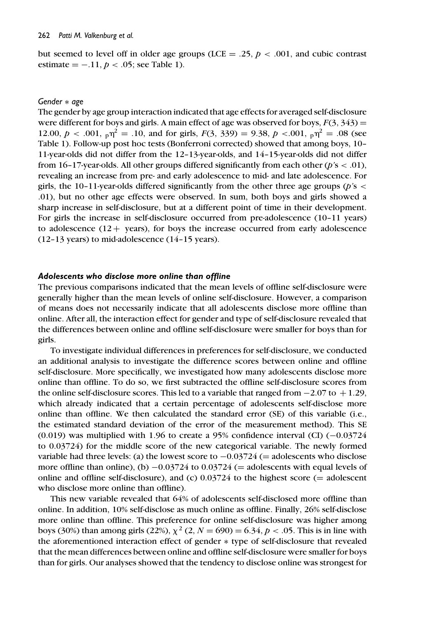but seemed to level off in older age groups (LCE  $= .25, p < .001$ , and cubic contrast estimate =  $-0.11$ , *p* < .05; see Table 1).

## *Gender* ∗ *age*

The gender by age group interaction indicated that age effects for averaged self-disclosure were different for boys and girls. A main effect of age was observed for boys,  $F(3, 343) =$ 12.00,  $p < .001$ ,  $_p\eta^2 = .10$ , and for girls,  $F(3, 339) = 9.38$ ,  $p < .001$ ,  $_p\eta^2 = .08$  (see Table 1). Follow-up post hoc tests (Bonferroni corrected) showed that among boys, 10– 11-year-olds did not differ from the 12–13-year-olds, and 14–15-year-olds did not differ from 16–17-year-olds. All other groups differed significantly from each other ( $p$ 's  $<$  .01), revealing an increase from pre- and early adolescence to mid- and late adolescence. For girls, the 10–11-year-olds differed significantly from the other three age groups ( $p$ 's  $\lt$ .01), but no other age effects were observed. In sum, both boys and girls showed a sharp increase in self-disclosure, but at a different point of time in their development. For girls the increase in self-disclosure occurred from pre-adolescence (10–11 years) to adolescence  $(12 + \text{years})$ , for boys the increase occurred from early adolescence (12–13 years) to mid-adolescence (14–15 years).

# *Adolescents who disclose more online than offline*

The previous comparisons indicated that the mean levels of offline self-disclosure were generally higher than the mean levels of online self-disclosure. However, a comparison of means does not necessarily indicate that all adolescents disclose more offline than online. After all, the interaction effect for gender and type of self-disclosure revealed that the differences between online and offline self-disclosure were smaller for boys than for girls.

To investigate individual differences in preferences for self-disclosure, we conducted an additional analysis to investigate the difference scores between online and offline self-disclosure. More specifically, we investigated how many adolescents disclose more online than offline. To do so, we first subtracted the offline self-disclosure scores from the online self-disclosure scores. This led to a variable that ranged from  $-2.07$  to  $+1.29$ , which already indicated that a certain percentage of adolescents self-disclose more online than offline. We then calculated the standard error (SE) of this variable (i.e., the estimated standard deviation of the error of the measurement method). This SE (0.019) was multiplied with 1.96 to create a 95% confidence interval (CI) (−0.03724 to 0.03724) for the middle score of the new categorical variable. The newly formed variable had three levels: (a) the lowest score to  $-0.03724$  (= adolescents who disclose more offline than online), (b)  $-0.03724$  to  $0.03724$  (= adolescents with equal levels of online and offline self-disclosure), and (c)  $0.03724$  to the highest score (= adolescent who disclose more online than offline).

This new variable revealed that 64% of adolescents self-disclosed more offline than online. In addition, 10% self-disclose as much online as offline. Finally, 26% self-disclose more online than offline. This preference for online self-disclosure was higher among boys (30%) than among girls (22%),  $\chi^2$  (2, *N* = 690) = 6.34, *p* < .05. This is in line with the aforementioned interaction effect of gender ∗ type of self-disclosure that revealed that the mean differences between online and offline self-disclosure were smaller for boys than for girls. Our analyses showed that the tendency to disclose online was strongest for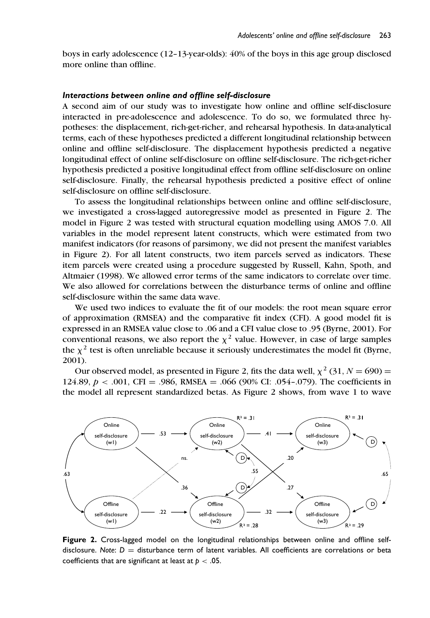boys in early adolescence (12–13-year-olds): 40% of the boys in this age group disclosed more online than offline.

# *Interactions between online and offline self-disclosure*

A second aim of our study was to investigate how online and offline self-disclosure interacted in pre-adolescence and adolescence. To do so, we formulated three hypotheses: the displacement, rich-get-richer, and rehearsal hypothesis. In data-analytical terms, each of these hypotheses predicted a different longitudinal relationship between online and offline self-disclosure. The displacement hypothesis predicted a negative longitudinal effect of online self-disclosure on offline self-disclosure. The rich-get-richer hypothesis predicted a positive longitudinal effect from offline self-disclosure on online self-disclosure. Finally, the rehearsal hypothesis predicted a positive effect of online self-disclosure on offline self-disclosure.

To assess the longitudinal relationships between online and offline self-disclosure, we investigated a cross-lagged autoregressive model as presented in Figure 2. The model in Figure 2 was tested with structural equation modelling using AMOS 7.0. All variables in the model represent latent constructs, which were estimated from two manifest indicators (for reasons of parsimony, we did not present the manifest variables in Figure 2). For all latent constructs, two item parcels served as indicators. These item parcels were created using a procedure suggested by Russell, Kahn, Spoth, and Altmaier (1998). We allowed error terms of the same indicators to correlate over time. We also allowed for correlations between the disturbance terms of online and offline self-disclosure within the same data wave.

We used two indices to evaluate the fit of our models: the root mean square error of approximation (RMSEA) and the comparative fit index (CFI). A good model fit is expressed in an RMSEA value close to .06 and a CFI value close to .95 (Byrne, 2001). For conventional reasons, we also report the  $\chi^2$  value. However, in case of large samples the  $\chi^2$  test is often unreliable because it seriously underestimates the model fit (Byrne, 2001).

Our observed model, as presented in Figure 2, fits the data well,  $\chi^2$  (31,  $N = 690$ ) = 124.89,  $p < .001$ , CFI = .986, RMSEA = .066 (90% CI: .054–.079). The coefficients in the model all represent standardized betas. As Figure 2 shows, from wave 1 to wave



**Figure 2.** Cross-lagged model on the longitudinal relationships between online and offline selfdisclosure. *Note*: *D* = disturbance term of latent variables. All coefficients are correlations or beta coefficients that are significant at least at  $p < .05$ .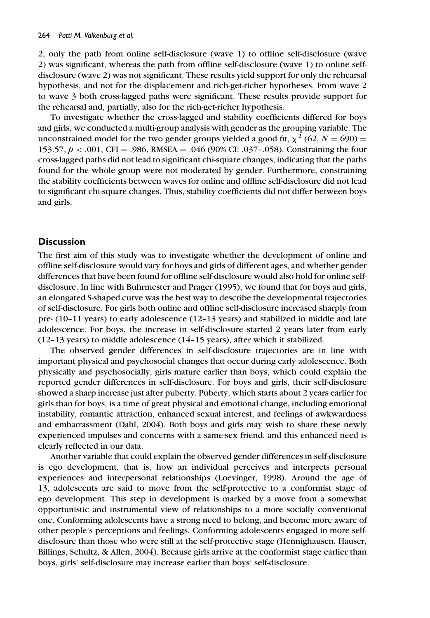2, only the path from online self-disclosure (wave 1) to offline self-disclosure (wave 2) was significant, whereas the path from offline self-disclosure (wave 1) to online selfdisclosure (wave 2) was not significant. These results yield support for only the rehearsal hypothesis, and not for the displacement and rich-get-richer hypotheses. From wave 2 to wave 3 both cross-lagged paths were significant. These results provide support for the rehearsal and, partially, also for the rich-get-richer hypothesis.

To investigate whether the cross-lagged and stability coefficients differed for boys and girls, we conducted a multi-group analysis with gender as the grouping variable. The unconstrained model for the two gender groups yielded a good fit,  $\chi^2$  (62, *N* = 690) = 153.57, *p* < .001, CFI = .986, RMSEA = .046 (90% CI: .037–.058). Constraining the four cross-lagged paths did not lead to significant chi-square changes, indicating that the paths found for the whole group were not moderated by gender. Furthermore, constraining the stability coefficients between waves for online and offline self-disclosure did not lead to significant chi-square changes. Thus, stability coefficients did not differ between boys and girls.

# **Discussion**

The first aim of this study was to investigate whether the development of online and offline self-disclosure would vary for boys and girls of different ages, and whether gender differences that have been found for offline self-disclosure would also hold for online selfdisclosure. In line with Buhrmester and Prager (1995), we found that for boys and girls, an elongated S-shaped curve was the best way to describe the developmental trajectories of self-disclosure. For girls both online and offline self-disclosure increased sharply from pre- (10–11 years) to early adolescence (12–13 years) and stabilized in middle and late adolescence. For boys, the increase in self-disclosure started 2 years later from early (12–13 years) to middle adolescence (14–15 years), after which it stabilized.

The observed gender differences in self-disclosure trajectories are in line with important physical and psychosocial changes that occur during early adolescence. Both physically and psychosocially, girls mature earlier than boys, which could explain the reported gender differences in self-disclosure. For boys and girls, their self-disclosure showed a sharp increase just after puberty. Puberty, which starts about 2 years earlier for girls than for boys, is a time of great physical and emotional change, including emotional instability, romantic attraction, enhanced sexual interest, and feelings of awkwardness and embarrassment (Dahl, 2004). Both boys and girls may wish to share these newly experienced impulses and concerns with a same-sex friend, and this enhanced need is clearly reflected in our data.

Another variable that could explain the observed gender differences in self-disclosure is ego development, that is, how an individual perceives and interprets personal experiences and interpersonal relationships (Loevinger, 1998). Around the age of 13, adolescents are said to move from the self-protective to a conformist stage of ego development. This step in development is marked by a move from a somewhat opportunistic and instrumental view of relationships to a more socially conventional one. Conforming adolescents have a strong need to belong, and become more aware of other people's perceptions and feelings. Conforming adolescents engaged in more selfdisclosure than those who were still at the self-protective stage (Hennighausen, Hauser, Billings, Schultz, & Allen, 2004). Because girls arrive at the conformist stage earlier than boys, girls' self-disclosure may increase earlier than boys' self-disclosure.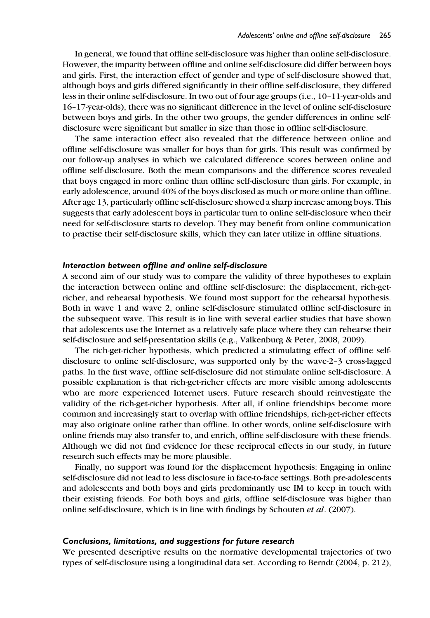In general, we found that offline self-disclosure was higher than online self-disclosure. However, the imparity between offline and online self-disclosure did differ between boys and girls. First, the interaction effect of gender and type of self-disclosure showed that, although boys and girls differed significantly in their offline self-disclosure, they differed less in their online self-disclosure. In two out of four age groups (i.e., 10–11-year-olds and 16–17-year-olds), there was no significant difference in the level of online self-disclosure between boys and girls. In the other two groups, the gender differences in online selfdisclosure were significant but smaller in size than those in offline self-disclosure.

The same interaction effect also revealed that the difference between online and offline self-disclosure was smaller for boys than for girls. This result was confirmed by our follow-up analyses in which we calculated difference scores between online and offline self-disclosure. Both the mean comparisons and the difference scores revealed that boys engaged in more online than offline self-disclosure than girls. For example, in early adolescence, around 40% of the boys disclosed as much or more online than offline. After age 13, particularly offline self-disclosure showed a sharp increase among boys. This suggests that early adolescent boys in particular turn to online self-disclosure when their need for self-disclosure starts to develop. They may benefit from online communication to practise their self-disclosure skills, which they can later utilize in offline situations.

## *Interaction between offline and online self-disclosure*

A second aim of our study was to compare the validity of three hypotheses to explain the interaction between online and offline self-disclosure: the displacement, rich-getricher, and rehearsal hypothesis. We found most support for the rehearsal hypothesis. Both in wave 1 and wave 2, online self-disclosure stimulated offline self-disclosure in the subsequent wave. This result is in line with several earlier studies that have shown that adolescents use the Internet as a relatively safe place where they can rehearse their self-disclosure and self-presentation skills (e.g., Valkenburg & Peter, 2008, 2009).

The rich-get-richer hypothesis, which predicted a stimulating effect of offline selfdisclosure to online self-disclosure, was supported only by the wave-2–3 cross-lagged paths. In the first wave, offline self-disclosure did not stimulate online self-disclosure. A possible explanation is that rich-get-richer effects are more visible among adolescents who are more experienced Internet users. Future research should reinvestigate the validity of the rich-get-richer hypothesis. After all, if online friendships become more common and increasingly start to overlap with offline friendships, rich-get-richer effects may also originate online rather than offline. In other words, online self-disclosure with online friends may also transfer to, and enrich, offline self-disclosure with these friends. Although we did not find evidence for these reciprocal effects in our study, in future research such effects may be more plausible.

Finally, no support was found for the displacement hypothesis: Engaging in online self-disclosure did not lead to less disclosure in face-to-face settings. Both pre-adolescents and adolescents and both boys and girls predominantly use IM to keep in touch with their existing friends. For both boys and girls, offline self-disclosure was higher than online self-disclosure, which is in line with findings by Schouten *et al*. (2007).

## *Conclusions, limitations, and suggestions for future research*

We presented descriptive results on the normative developmental trajectories of two types of self-disclosure using a longitudinal data set. According to Berndt (2004, p. 212),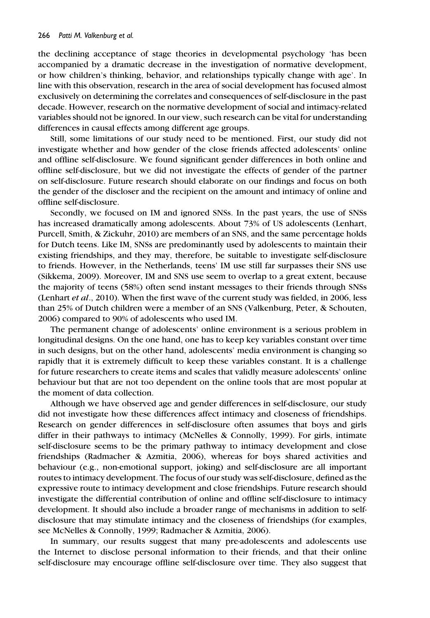the declining acceptance of stage theories in developmental psychology 'has been accompanied by a dramatic decrease in the investigation of normative development, or how children's thinking, behavior, and relationships typically change with age'. In line with this observation, research in the area of social development has focused almost exclusively on determining the correlates and consequences of self-disclosure in the past decade. However, research on the normative development of social and intimacy-related variables should not be ignored. In our view, such research can be vital for understanding differences in causal effects among different age groups.

Still, some limitations of our study need to be mentioned. First, our study did not investigate whether and how gender of the close friends affected adolescents' online and offline self-disclosure. We found significant gender differences in both online and offline self-disclosure, but we did not investigate the effects of gender of the partner on self-disclosure. Future research should elaborate on our findings and focus on both the gender of the discloser and the recipient on the amount and intimacy of online and offline self-disclosure.

Secondly, we focused on IM and ignored SNSs. In the past years, the use of SNSs has increased dramatically among adolescents. About 73% of US adolescents (Lenhart, Purcell, Smith, & Zickuhr, 2010) are members of an SNS, and the same percentage holds for Dutch teens. Like IM, SNSs are predominantly used by adolescents to maintain their existing friendships, and they may, therefore, be suitable to investigate self-disclosure to friends. However, in the Netherlands, teens' IM use still far surpasses their SNS use (Sikkema, 2009). Moreover, IM and SNS use seem to overlap to a great extent, because the majority of teens (58%) often send instant messages to their friends through SNSs (Lenhart *et al*., 2010). When the first wave of the current study was fielded, in 2006, less than 25% of Dutch children were a member of an SNS (Valkenburg, Peter, & Schouten, 2006) compared to 90% of adolescents who used IM.

The permanent change of adolescents' online environment is a serious problem in longitudinal designs. On the one hand, one has to keep key variables constant over time in such designs, but on the other hand, adolescents' media environment is changing so rapidly that it is extremely difficult to keep these variables constant. It is a challenge for future researchers to create items and scales that validly measure adolescents' online behaviour but that are not too dependent on the online tools that are most popular at the moment of data collection.

Although we have observed age and gender differences in self-disclosure, our study did not investigate how these differences affect intimacy and closeness of friendships. Research on gender differences in self-disclosure often assumes that boys and girls differ in their pathways to intimacy (McNelles & Connolly, 1999). For girls, intimate self-disclosure seems to be the primary pathway to intimacy development and close friendships (Radmacher & Azmitia, 2006), whereas for boys shared activities and behaviour (e.g., non-emotional support, joking) and self-disclosure are all important routes to intimacy development. The focus of our study was self-disclosure, defined as the expressive route to intimacy development and close friendships. Future research should investigate the differential contribution of online and offline self-disclosure to intimacy development. It should also include a broader range of mechanisms in addition to selfdisclosure that may stimulate intimacy and the closeness of friendships (for examples, see McNelles & Connolly, 1999; Radmacher & Azmitia, 2006).

In summary, our results suggest that many pre-adolescents and adolescents use the Internet to disclose personal information to their friends, and that their online self-disclosure may encourage offline self-disclosure over time. They also suggest that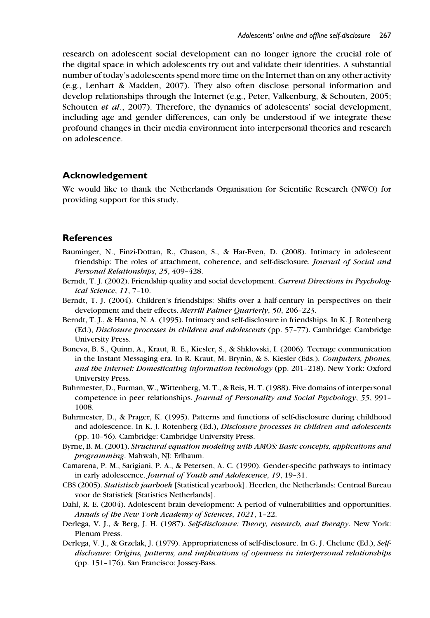research on adolescent social development can no longer ignore the crucial role of the digital space in which adolescents try out and validate their identities. A substantial number of today's adolescents spend more time on the Internet than on any other activity (e.g., Lenhart & Madden, 2007). They also often disclose personal information and develop relationships through the Internet (e.g., Peter, Valkenburg, & Schouten, 2005; Schouten *et al*., 2007). Therefore, the dynamics of adolescents' social development, including age and gender differences, can only be understood if we integrate these profound changes in their media environment into interpersonal theories and research on adolescence.

# **Acknowledgement**

We would like to thank the Netherlands Organisation for Scientific Research (NWO) for providing support for this study.

# **References**

- Bauminger, N., Finzi-Dottan, R., Chason, S., & Har-Even, D. (2008). Intimacy in adolescent friendship: The roles of attachment, coherence, and self-disclosure. *Journal of Social and Personal Relationships*, *25*, 409–428.
- Berndt, T. J. (2002). Friendship quality and social development. *Current Directions in Psychological Science*, *11*, 7–10.
- Berndt, T. J. (2004). Children's friendships: Shifts over a half-century in perspectives on their development and their effects. *Merrill Palmer Quarterly*, *50*, 206–223.
- Berndt, T. J., & Hanna, N. A. (1995). Intimacy and self-disclosure in friendships. In K. J. Rotenberg (Ed.), *Disclosure processes in children and adolescents* (pp. 57–77). Cambridge: Cambridge University Press.
- Boneva, B. S., Quinn, A., Kraut, R. E., Kiesler, S., & Shklovski, I. (2006). Teenage communication in the Instant Messaging era. In R. Kraut, M. Brynin, & S. Kiesler (Eds.), *Computers, phones, and the Internet: Domesticating information technology* (pp. 201–218). New York: Oxford University Press.
- Buhrmester, D., Furman, W., Wittenberg, M. T., & Reis, H. T. (1988). Five domains of interpersonal competence in peer relationships. *Journal of Personality and Social Psychology*, *55*, 991– 1008.
- Buhrmester, D., & Prager, K. (1995). Patterns and functions of self-disclosure during childhood and adolescence. In K. J. Rotenberg (Ed.), *Disclosure processes in children and adolescents* (pp. 10–56). Cambridge: Cambridge University Press.
- Byrne, B. M. (2001). *Structural equation modeling with AMOS: Basic concepts, applications and programming*. Mahwah, NJ: Erlbaum.
- Camarena, P. M., Sarigiani, P. A., & Petersen, A. C. (1990). Gender-specific pathways to intimacy in early adolescence. *Journal of Youth and Adolescence*, *19*, 19–31.
- CBS (2005). *Statistisch jaarboek* [Statistical yearbook]. Heerlen, the Netherlands: Centraal Bureau voor de Statistiek [Statistics Netherlands].
- Dahl, R. E. (2004). Adolescent brain development: A period of vulnerabilities and opportunities. *Annals of the New York Academy of Sciences*, *1021*, 1–22.
- Derlega, V. J., & Berg, J. H. (1987). *Self-disclosure: Theory, research, and therapy*. New York: Plenum Press.
- Derlega, V. J., & Grzelak, J. (1979). Appropriateness of self-disclosure. In G. J. Chelune (Ed.), *Selfdisclosure: Origins, patterns, and implications of openness in interpersonal relationships* (pp. 151–176). San Francisco: Jossey-Bass.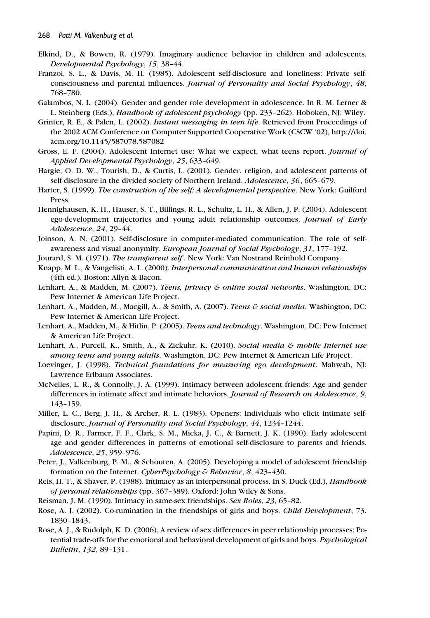- Elkind, D., & Bowen, R. (1979). Imaginary audience behavior in children and adolescents. *Developmental Psychology*, *15*, 38–44.
- Franzoi, S. L., & Davis, M. H. (1985). Adolescent self-disclosure and loneliness: Private selfconsciousness and parental influences. *Journal of Personality and Social Psychology*, *48*, 768–780.
- Galambos, N. L. (2004). Gender and gender role development in adolescence. In R. M. Lerner & L. Steinberg (Eds.), *Handbook of adolescent psychology* (pp. 233–262). Hoboken, NJ: Wiley.
- Grinter, R. E., & Palen, L. (2002). *Instant messaging in teen life*. Retrieved from Proceedings of the 2002 ACM Conference on Computer Supported Cooperative Work (CSCW '02), http://doi. acm.org/10.1145/587078.587082
- Gross, E. F. (2004). Adolescent Internet use: What we expect, what teens report. *Journal of Applied Developmental Psychology*, *25*, 633–649.
- Hargie, O. D. W., Tourish, D., & Curtis, L. (2001). Gender, religion, and adolescent patterns of self-disclosure in the divided society of Northern Ireland. *Adolescence*, *36*, 665–679.
- Harter, S. (1999). *The construction of the self: A developmental perspective*. New York: Guilford Press.
- Hennighausen, K. H., Hauser, S. T., Billings, R. L., Schultz, L. H., & Allen, J. P. (2004). Adolescent ego-development trajectories and young adult relationship outcomes. *Journal of Early Adolescence*, *24*, 29–44.
- Joinson, A. N. (2001). Self-disclosure in computer-mediated communication: The role of selfawareness and visual anonymity. *European Journal of Social Psychology*, *31*, 177–192.
- Jourard, S. M. (1971). *The transparent self*. New York: Van Nostrand Reinhold Company.
- Knapp, M. L., & Vangelisti, A. L. (2000). *Interpersonal communication and human relationships* (4th ed.). Boston: Allyn & Bacon.
- Lenhart, A., & Madden, M. (2007). *Teens, privacy & online social networks*. Washington, DC: Pew Internet & American Life Project.
- Lenhart, A., Madden, M., Macgill, A., & Smith, A. (2007). *Teens & social media*. Washington, DC: Pew Internet & American Life Project.
- Lenhart, A., Madden, M., & Hitlin, P. (2005). *Teens and technology*. Washington, DC: Pew Internet & American Life Project.
- Lenhart, A., Purcell, K., Smith, A., & Zickuhr, K. (2010). *Social media & mobile Internet use among teens and young adults*. Washington, DC: Pew Internet & American Life Project.
- Loevinger, J. (1998). *Technical foundations for measuring ego development*. Mahwah, NJ: Lawrence Erlbaum Associates.
- McNelles, L. R., & Connolly, J. A. (1999). Intimacy between adolescent friends: Age and gender differences in intimate affect and intimate behaviors. *Journal of Research on Adolescence*, *9*, 143–159.
- Miller, L. C., Berg, J. H., & Archer, R. L. (1983). Openers: Individuals who elicit intimate selfdisclosure. *Journal of Personality and Social Psychology*, *44*, 1234–1244.
- Papini, D. R., Farmer, F. F., Clark, S. M., Micka, J. C., & Barnett, J. K. (1990). Early adolescent age and gender differences in patterns of emotional self-disclosure to parents and friends. *Adolescence*, *25*, 959–976.
- Peter, J., Valkenburg, P. M., & Schouten, A. (2005). Developing a model of adolescent friendship formation on the Internet. *CyberPsychology & Behavior*, *8*, 423–430.
- Reis, H. T., & Shaver, P. (1988). Intimacy as an interpersonal process. In S. Duck (Ed.), *Handbook of personal relationships* (pp. 367–389). Oxford: John Wiley & Sons.
- Reisman, J. M. (1990). Intimacy in same-sex friendships. *Sex Roles*, *23*, 65–82.
- Rose, A. J. (2002). Co-rumination in the friendships of girls and boys. *Child Development*, 73, 1830–1843.
- Rose, A. J., & Rudolph, K. D. (2006). A review of sex differences in peer relationship processes: Potential trade-offs for the emotional and behavioral development of girls and boys. *Psychological Bulletin*, *132*, 89–131.